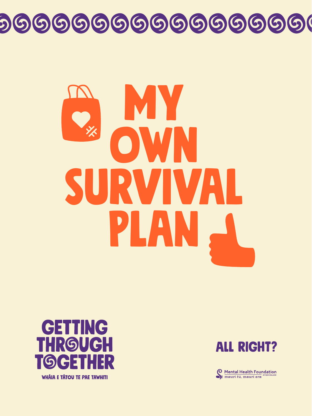

#### GENNG THRGUGH TOCHHR

**WHÂIA E TÂTOU TE PAE TAWHITI** 

#### ALL RIGHT?

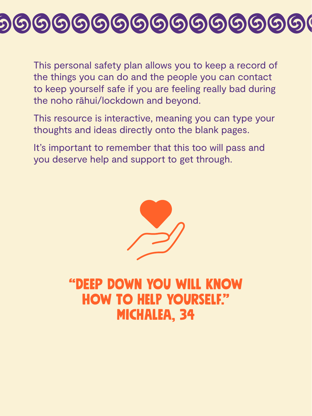This personal safety plan allows you to keep a record of the things you can do and the people you can contact to keep yourself safe if you are feeling really bad during the noho rāhui/lockdown and beyond.

It's important to remember that this too will pass and you deserve help and support to get through.



This resource is interactive, meaning you can type your thoughts and ideas directly onto the blank pages.

#### "DEeP DoWn yOu wIlL KnOw hOw tO HeLp yOuRsElF." MIcHaLeA, 34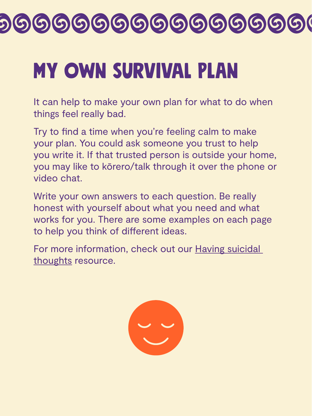### MY OwN SuRvIvAl pLaN

It can help to make your own plan for what to do when things feel really bad.

Try to find a time when you're feeling calm to make

your plan. You could ask someone you trust to help you write it. If that trusted person is outside your home, you may like to kōrero/talk through it over the phone or video chat.

For more information, check out our Having suicidal [thoughts](http://www.mentalhealth.org.nz/get-help/covid-19/having-suicidal-thoughts/) resource.



Write your own answers to each question. Be really honest with yourself about what you need and what works for you. There are some examples on each page to help you think of diferent ideas.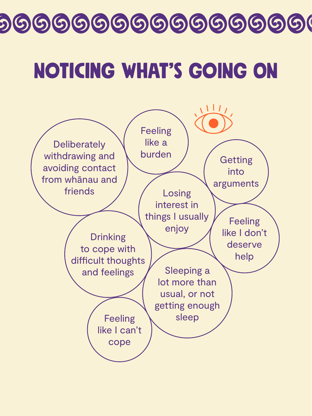#### NOtIcInG WhAt's gOiNg oN

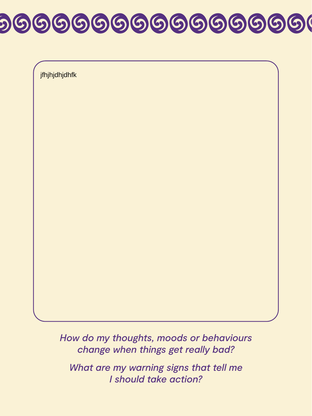*How do my thoughts, moods or behaviours change when things get really bad? What are my warning signs that tell me I should take action?*

## 000000000000000000

jfhjhjdhjdhfk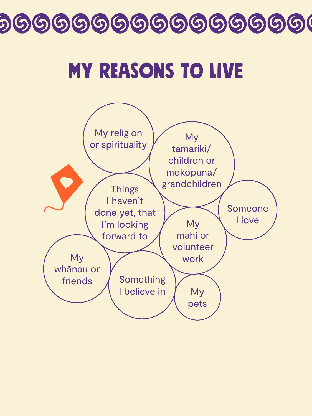### MY ReAsOnS To lIvE

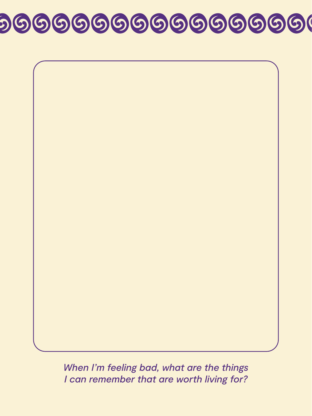

When I'm feeling bad, what are the things *I can remember that are worth living for?*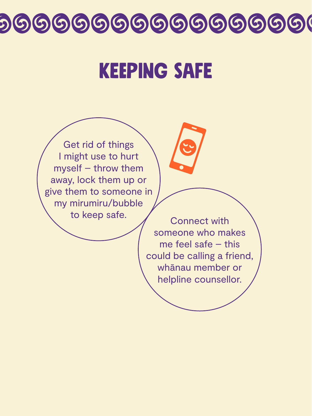#### KEPING SAFE



Get rid of things I might use to hurt myself – throw them away, lock them up or give them to someone in my mirumiru/bubble to keep safe.

Connect with someone who makes me feel safe – this could be calling a friend, whānau member or helpline counsellor.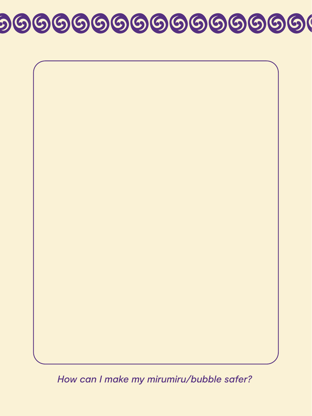

*How can I make my mirumiru/bubble safer?*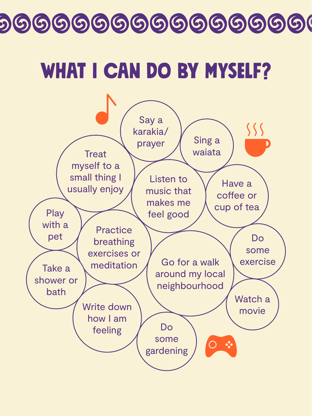### WHAT I CAN DO BY MYSELF?

![](_page_9_Picture_2.jpeg)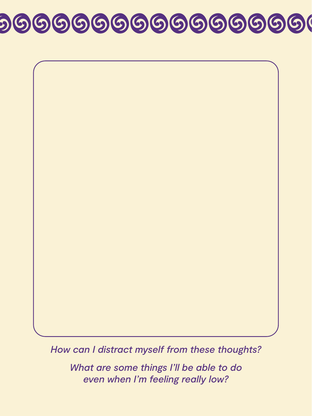![](_page_10_Picture_1.jpeg)

#### *How can I distract myself from these thoughts?*

*What are some things I'll be able to do even when I'm feeling really low?*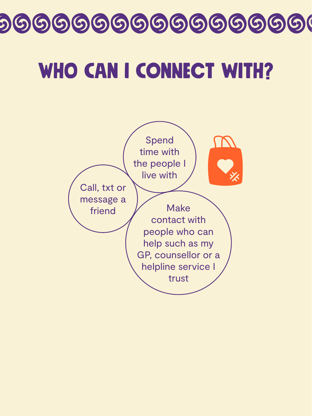#### WHO CAN I CONNECT WITH?

![](_page_11_Picture_2.jpeg)

![](_page_11_Picture_3.jpeg)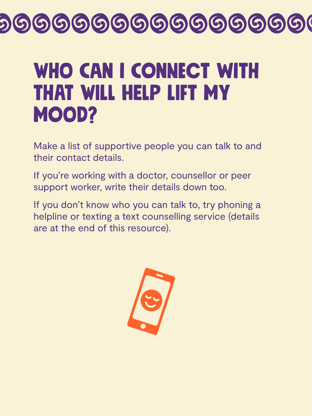### WHO CAN I CONNECT WITH tHaT WiLl hElP LiFt mY MOOD?

Make a list of supportive people you can talk to and their contact details.

If you're working with a doctor, counsellor or peer support worker, write their details down too.

If you don't know who you can talk to, try phoning a helpline or texting a text counselling service (details are at the end of this resource).

![](_page_12_Picture_5.jpeg)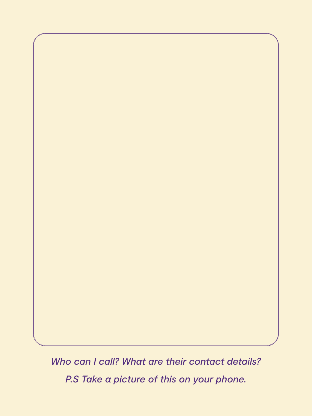![](_page_13_Picture_0.jpeg)

*Who can I call? What are their contact details? P.S Take a picture of this on your phone.*